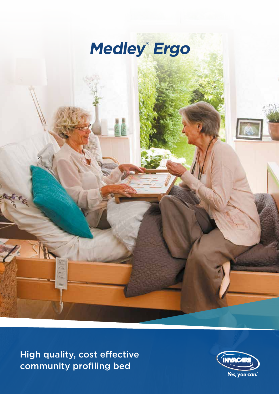

High quality, cost effective community profiling bed

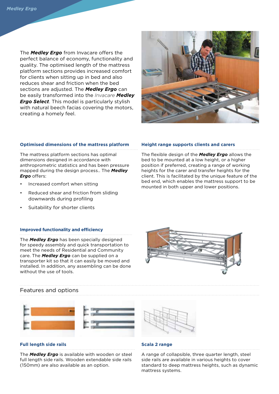The *Medley Ergo* from Invacare offers the perfect balance of economy, functionality and quality. The optimised length of the mattress platform sections provides increased comfort for clients when sitting up in bed and also reduces shear and friction when the bed sections are adjusted. The *Medley Ergo* can be easily transformed into the *Invacare Medley Ergo Select*. This model is particularly stylish with natural beech facias covering the motors, creating a homely feel.



#### **Optimised dimensions of the mattress platform**

The mattress platform sections has optimal dimensions designed in accordance with anthroprometric statistics and has been pressure mapped during the design process.. The *Medley Ergo* offers:

- Increased comfort when sitting
- Reduced shear and friction from sliding downwards during profiling
- Suitability for shorter clients

#### **Improved functionality and efficiency**

The *Medley Ergo* has been specially designed for speedy assembly and quick transportation to meet the needs of Residential and Community care. The *Medley Ergo* can be supplied on a transporter kit so that it can easily be moved and installed. In addition, any assembling can be done without the use of tools.

# **Height range supports clients and carers**

The flexible design of the *Medley Ergo* allows the bed to be mounted at a low height, or a higher position if preferred, creating a range of working heights for the carer and transfer heights for the client. This is facilitated by the unique feature of the bed end, which enables the mattress support to be mounted in both upper and lower positions.



### Features and options



#### **Full length side rails**

The *Medley Ergo* is available with wooden or steel full length side rails. Wooden extendable side rails (150mm) are also available as an option.



#### **Scala 2 range**

A range of collapsible, three quarter length, steel side rails are available in various heights to cover standard to deep mattress heights, such as dynamic mattress systems.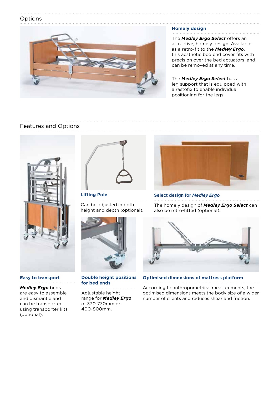## **Options**



## **Homely design**

The *Medley Ergo Select* offers an attractive, homely design. Available as a retro-fit to the *Medley Ergo*, this aesthetic bed end cover fits with precision over the bed actuators, and can be removed at any time.

The *Medley Ergo Select* has a leg support that is equipped with a rastofix to enable individual positioning for the legs.

## Features and Options



**Easy to transport** 

# *Medley Ergo* beds are easy to assemble

and dismantle and can be transported using transporter kits (optional).



**Lifting Pole** Can be adjusted in both



**Double height positions for bed ends** 

Adjustable height range for *Medley Ergo* of 330-730mm or 400-800mm.



#### **Select design for** *Medley Ergo*

The homely design of *Medley Ergo Select* can also be retro-fitted (optional).



**Optimised dimensions of mattress platform** 

According to anthropometrical measurements, the optimised dimensions meets the body size of a wider number of clients and reduces shear and friction.